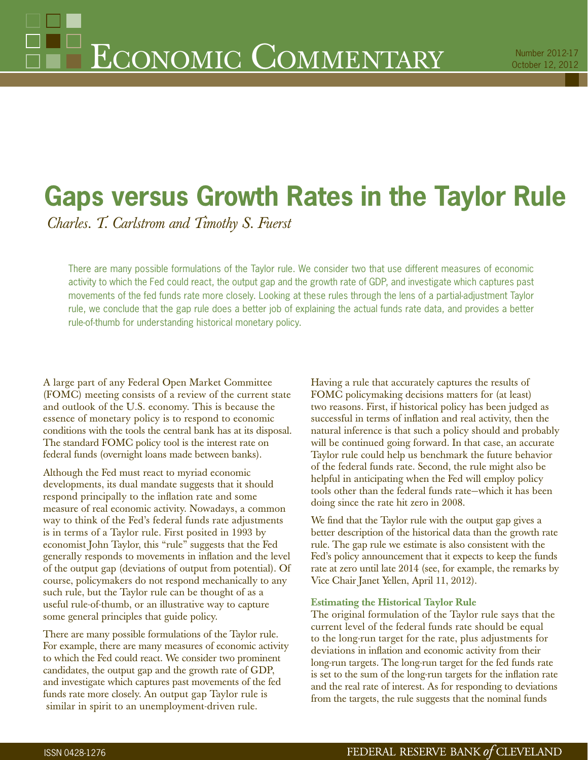# **Gaps versus Growth Rates in the Taylor Rule**

*Charles. T. Carlstrom and Timothy S. Fuerst*

There are many possible formulations of the Taylor rule. We consider two that use different measures of economic activity to which the Fed could react, the output gap and the growth rate of GDP, and investigate which captures past movements of the fed funds rate more closely. Looking at these rules through the lens of a partial-adjustment Taylor rule, we conclude that the gap rule does a better job of explaining the actual funds rate data, and provides a better rule-of-thumb for understanding historical monetary policy.

A large part of any Federal Open Market Committee (FOMC) meeting consists of a review of the current state and outlook of the U.S. economy. This is because the essence of monetary policy is to respond to economic conditions with the tools the central bank has at its disposal. The standard FOMC policy tool is the interest rate on federal funds (overnight loans made between banks).

Although the Fed must react to myriad economic developments, its dual mandate suggests that it should respond principally to the inflation rate and some measure of real economic activity. Nowadays, a common way to think of the Fed's federal funds rate adjustments is in terms of a Taylor rule. First posited in 1993 by economist John Taylor, this "rule" suggests that the Fed generally responds to movements in inflation and the level of the output gap (deviations of output from potential). Of course, policymakers do not respond mechanically to any such rule, but the Taylor rule can be thought of as a useful rule-of-thumb, or an illustrative way to capture some general principles that guide policy.

There are many possible formulations of the Taylor rule. For example, there are many measures of economic activity to which the Fed could react. We consider two prominent candidates, the output gap and the growth rate of GDP, and investigate which captures past movements of the fed funds rate more closely. An output gap Taylor rule is similar in spirit to an unemployment-driven rule.

Having a rule that accurately captures the results of FOMC policymaking decisions matters for (at least) two reasons. First, if historical policy has been judged as successful in terms of inflation and real activity, then the natural inference is that such a policy should and probably will be continued going forward. In that case, an accurate Taylor rule could help us benchmark the future behavior of the federal funds rate. Second, the rule might also be helpful in anticipating when the Fed will employ policy tools other than the federal funds rate—which it has been doing since the rate hit zero in 2008.

We find that the Taylor rule with the output gap gives a better description of the historical data than the growth rate rule. The gap rule we estimate is also consistent with the Fed's policy announcement that it expects to keep the funds rate at zero until late 2014 (see, for example, the remarks by Vice Chair Janet Yellen, April 11, 2012).

## **Estimating the Historical Taylor Rule**

The original formulation of the Taylor rule says that the current level of the federal funds rate should be equal to the long-run target for the rate, plus adjustments for deviations in inflation and economic activity from their long-run targets. The long-run target for the fed funds rate is set to the sum of the long-run targets for the inflation rate and the real rate of interest. As for responding to deviations from the targets, the rule suggests that the nominal funds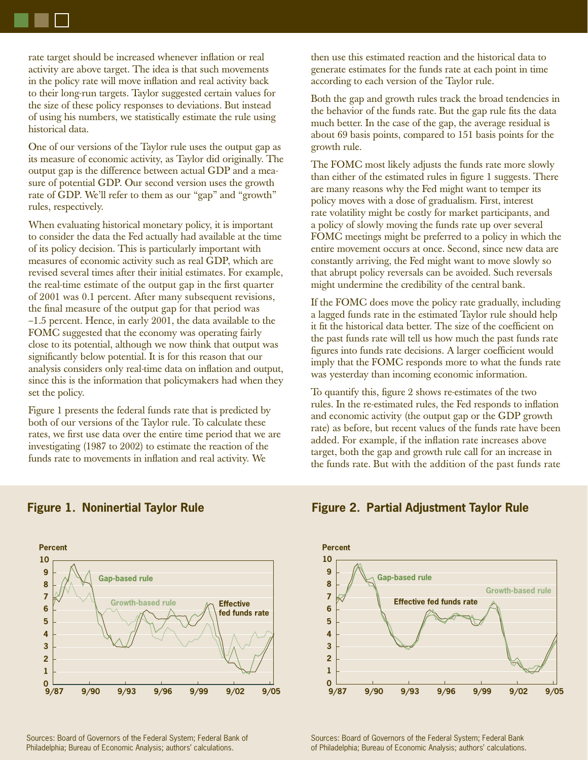rate target should be increased whenever inflation or real activity are above target. The idea is that such movements in the policy rate will move inflation and real activity back to their long-run targets. Taylor suggested certain values for the size of these policy responses to deviations. But instead of using his numbers, we statistically estimate the rule using historical data.

One of our versions of the Taylor rule uses the output gap as its measure of economic activity, as Taylor did originally. The output gap is the difference between actual GDP and a measure of potential GDP. Our second version uses the growth rate of GDP. We'll refer to them as our "gap" and "growth" rules, respectively.

When evaluating historical monetary policy, it is important to consider the data the Fed actually had available at the time of its policy decision. This is particularly important with measures of economic activity such as real GDP, which are revised several times after their initial estimates. For example, the real-time estimate of the output gap in the first quarter of 2001 was 0.1 percent. After many subsequent revisions, the final measure of the output gap for that period was –1.5 percent. Hence, in early 2001, the data available to the FOMC suggested that the economy was operating fairly close to its potential, although we now think that output was significantly below potential. It is for this reason that our analysis considers only real-time data on inflation and output, since this is the information that policymakers had when they set the policy.

Figure 1 presents the federal funds rate that is predicted by both of our versions of the Taylor rule. To calculate these rates, we first use data over the entire time period that we are investigating (1987 to 2002) to estimate the reaction of the funds rate to movements in inflation and real activity. We

then use this estimated reaction and the historical data to generate estimates for the funds rate at each point in time according to each version of the Taylor rule.

Both the gap and growth rules track the broad tendencies in the behavior of the funds rate. But the gap rule fits the data much better. In the case of the gap, the average residual is about 69 basis points, compared to 151 basis points for the growth rule.

The FOMC most likely adjusts the funds rate more slowly than either of the estimated rules in figure 1 suggests. There are many reasons why the Fed might want to temper its policy moves with a dose of gradualism. First, interest rate volatility might be costly for market participants, and a policy of slowly moving the funds rate up over several FOMC meetings might be preferred to a policy in which the entire movement occurs at once. Second, since new data are constantly arriving, the Fed might want to move slowly so that abrupt policy reversals can be avoided. Such reversals might undermine the credibility of the central bank.

If the FOMC does move the policy rate gradually, including a lagged funds rate in the estimated Taylor rule should help it fit the historical data better. The size of the coefficient on the past funds rate will tell us how much the past funds rate figures into funds rate decisions. A larger coefficient would imply that the FOMC responds more to what the funds rate was yesterday than incoming economic information.

To quantify this, figure 2 shows re-estimates of the two rules. In the re-estimated rules, the Fed responds to inflation and economic activity (the output gap or the GDP growth rate) as before, but recent values of the funds rate have been added. For example, if the inflation rate increases above target, both the gap and growth rule call for an increase in the funds rate. But with the addition of the past funds rate



# **Figure 1. Noninertial Taylor Rule Figure 2. Partial Adjustment Taylor Rule**



Sources: Board of Governors of the Federal System; Federal Bank of Philadelphia; Bureau of Economic Analysis; authors' calculations.

Sources: Board of Governors of the Federal System; Federal Bank of Philadelphia; Bureau of Economic Analysis; authors' calculations.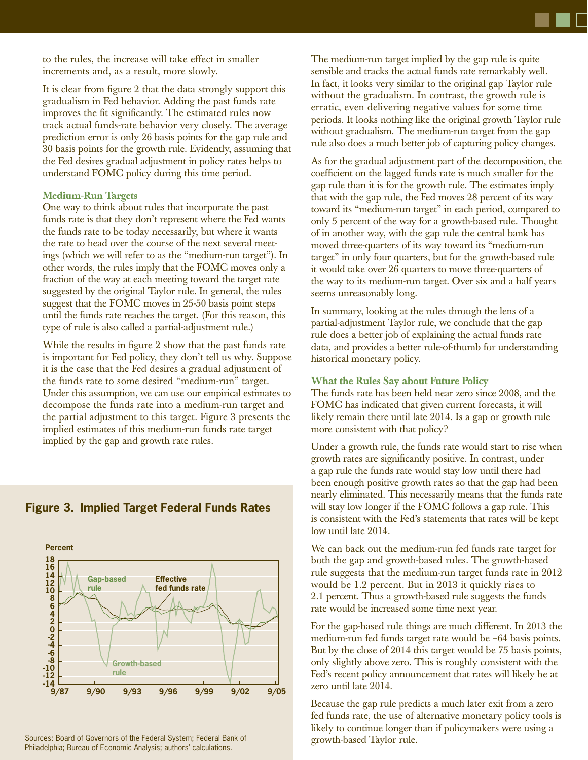to the rules, the increase will take effect in smaller increments and, as a result, more slowly.

It is clear from figure 2 that the data strongly support this gradualism in Fed behavior. Adding the past funds rate improves the fit significantly. The estimated rules now track actual funds-rate behavior very closely. The average prediction error is only 26 basis points for the gap rule and 30 basis points for the growth rule. Evidently, assuming that the Fed desires gradual adjustment in policy rates helps to understand FOMC policy during this time period.

### **Medium-Run Targets**

One way to think about rules that incorporate the past funds rate is that they don't represent where the Fed wants the funds rate to be today necessarily, but where it wants the rate to head over the course of the next several meetings (which we will refer to as the "medium-run target"). In other words, the rules imply that the FOMC moves only a fraction of the way at each meeting toward the target rate suggested by the original Taylor rule. In general, the rules suggest that the FOMC moves in 25-50 basis point steps until the funds rate reaches the target. (For this reason, this type of rule is also called a partial-adjustment rule.)

While the results in figure 2 show that the past funds rate is important for Fed policy, they don't tell us why. Suppose it is the case that the Fed desires a gradual adjustment of the funds rate to some desired "medium-run" target. Under this assumption, we can use our empirical estimates to decompose the funds rate into a medium-run target and the partial adjustment to this target. Figure 3 presents the implied estimates of this medium-run funds rate target implied by the gap and growth rate rules.

**Percent 18 16**  $\overline{r}$ **12 14 Gap-based Effective fed funds rate rule10 8 0 2 4 6 -8 -6 -4 -2 Growth-based -12 -10 rule**

# **Figure 3. Implied Target Federal Funds Rates**

Sources: Board of Governors of the Federal System; Federal Bank of Philadelphia; Bureau of Economic Analysis; authors' calculations.

The medium-run target implied by the gap rule is quite sensible and tracks the actual funds rate remarkably well. In fact, it looks very similar to the original gap Taylor rule without the gradualism. In contrast, the growth rule is erratic, even delivering negative values for some time periods. It looks nothing like the original growth Taylor rule without gradualism. The medium-run target from the gap rule also does a much better job of capturing policy changes.

As for the gradual adjustment part of the decomposition, the coefficient on the lagged funds rate is much smaller for the gap rule than it is for the growth rule. The estimates imply that with the gap rule, the Fed moves 28 percent of its way toward its "medium-run target" in each period, compared to only 5 percent of the way for a growth-based rule. Thought of in another way, with the gap rule the central bank has moved three-quarters of its way toward its "medium-run target" in only four quarters, but for the growth-based rule it would take over 26 quarters to move three-quarters of the way to its medium-run target. Over six and a half years seems unreasonably long.

In summary, looking at the rules through the lens of a partial-adjustment Taylor rule, we conclude that the gap rule does a better job of explaining the actual funds rate data, and provides a better rule-of-thumb for understanding historical monetary policy.

### **What the Rules Say about Future Policy**

The funds rate has been held near zero since 2008, and the FOMC has indicated that given current forecasts, it will likely remain there until late 2014. Is a gap or growth rule more consistent with that policy?

Under a growth rule, the funds rate would start to rise when growth rates are significantly positive. In contrast, under a gap rule the funds rate would stay low until there had been enough positive growth rates so that the gap had been nearly eliminated. This necessarily means that the funds rate will stay low longer if the FOMC follows a gap rule. This is consistent with the Fed's statements that rates will be kept low until late 2014.

We can back out the medium-run fed funds rate target for both the gap and growth-based rules. The growth-based rule suggests that the medium-run target funds rate in 2012 would be 1.2 percent. But in 2013 it quickly rises to 2.1 percent. Thus a growth-based rule suggests the funds rate would be increased some time next year.

For the gap-based rule things are much different. In 2013 the medium-run fed funds target rate would be –64 basis points. But by the close of 2014 this target would be 75 basis points, only slightly above zero. This is roughly consistent with the Fed's recent policy announcement that rates will likely be at zero until late 2014.

Because the gap rule predicts a much later exit from a zero fed funds rate, the use of alternative monetary policy tools is likely to continue longer than if policymakers were using a growth-based Taylor rule.